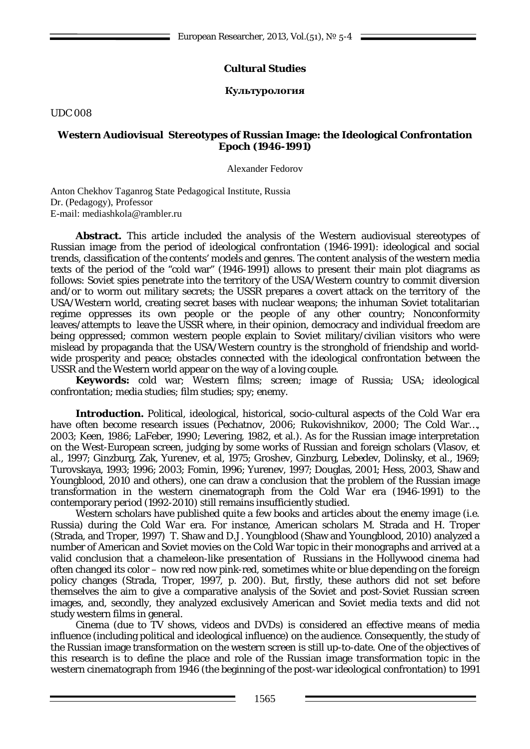# **Cultural Studies**

### **Культурология**

UDC 008

## **Western Audiovisual Stereotypes of Russian Image: the Ideological Confrontation Epoch (1946-1991)**

Alexander Fedorov

Anton Chekhov Taganrog State Pedagogical Institute, Russia Dr. (Pedagogy), Professor E-mail: mediashkola@rambler.ru

**Abstract.** This article included the analysis of the Western audiovisual stereotypes of Russian image from the period of ideological confrontation (1946-1991): ideological and social trends, classification of the contents' models and genres. The content analysis of the western media texts of the period of the "cold war" (1946-1991) allows to present their main plot diagrams as follows: Soviet spies penetrate into the territory of the USA/Western country to commit diversion and/or to worm out military secrets; the USSR prepares a covert attack on the territory of the USA/Western world, creating secret bases with nuclear weapons; the inhuman Soviet totalitarian regime oppresses its own people or the people of any other country; Nonconformity leaves/attempts to leave the USSR where, in their opinion, democracy and individual freedom are being oppressed; common western people explain to Soviet military/civilian visitors who were mislead by propaganda that the USA/Western country is the stronghold of friendship and worldwide prosperity and peace; obstacles connected with the ideological confrontation between the USSR and the Western world appear on the way of a loving couple.

**Keywords:** cold war; Western films; screen; image of Russia; USA; ideological confrontation; media studies; film studies; spy; enemy.

**Introduction.** Political, ideological, historical, socio-cultural aspects of the *Cold War* era have often become research issues (Pechatnov, 2006; Rukovishnikov, 2000; The Cold War…, 2003; Keen, 1986; LaFeber, 1990; Levering, 1982, et al.). As for the Russian image interpretation on the West-European screen, judging by some works of Russian and foreign scholars (Vlasov, et al., 1997; Ginzburg, Zak, Yurenev, et al, 1975; Groshev, Ginzburg, Lebedev, Dolinsky, et al., 1969; Turovskaya, 1993; 1996; 2003; Fomin, 1996; Yurenev, 1997; Douglas, 2001; Hess, 2003, Shaw and Youngblood, 2010 and others), one can draw a conclusion that the problem of the Russian image transformation in the western cinematograph from the *Cold War* era (1946-1991) to the contemporary period (1992-2010) still remains insufficiently studied.

Western scholars have published quite a few books and articles about the *enemy image* (i.e. Russia) during the *Cold War* era. For instance, American scholars M. Strada and H. Troper (Strada, and Troper, 1997) T. Shaw and D.J. Youngblood (Shaw and Youngblood, 2010) analyzed a number of American and Soviet movies on the Cold War topic in their monographs and arrived at a valid conclusion that a *chameleon-like* presentation of Russians in the Hollywood cinema had often changed its color – now red now pink-red, sometimes white or blue depending on the foreign policy changes (Strada, Troper, 1997, p. 200). But, firstly, these authors did not set before themselves the aim to give a comparative analysis of the Soviet and post-Soviet Russian screen images, and, secondly, they analyzed exclusively American and Soviet media texts and did not study western films in general.

Cinema (due to TV shows, videos and DVDs) is considered an effective means of media influence (including political and ideological influence) on the audience. Consequently, the study of the Russian image transformation on the western screen is still up-to-date. One of the objectives of this research is to define the place and role of the Russian image transformation topic in the western cinematograph from 1946 (the beginning of the post-war ideological confrontation) to 1991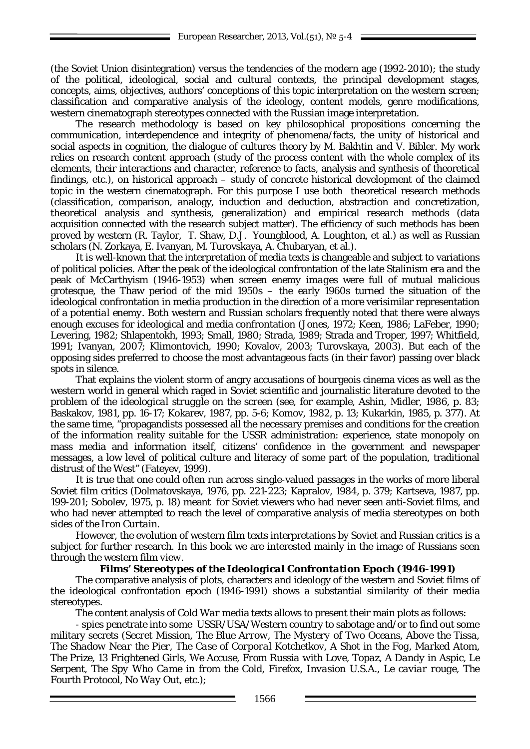(the Soviet Union disintegration) versus the tendencies of the modern age (1992-2010); the study of the political, ideological, social and cultural contexts, the principal development stages, concepts, aims, objectives, authors' conceptions of this topic interpretation on the western screen; classification and comparative analysis of the ideology, content models, genre modifications, western cinematograph stereotypes connected with the Russian image interpretation.

The research methodology is based on key philosophical propositions concerning the communication, interdependence and integrity of phenomena/facts, the unity of historical and social aspects in cognition, the dialogue of cultures theory by M. Bakhtin and V. Bibler. My work relies on research content approach (study of the process content with the whole complex of its elements, their interactions and character, reference to facts, analysis and synthesis of theoretical findings, etc.), on historical approach – study of concrete historical development of the claimed topic in the western cinematograph. For this purpose I use both theoretical research methods (classification, comparison, analogy, induction and deduction, abstraction and concretization, theoretical analysis and synthesis, generalization) and empirical research methods (data acquisition connected with the research subject matter). The efficiency of such methods has been proved by western (R. Taylor, T. Shaw, D.J. Youngblood, A. Loughton, et al.) as well as Russian scholars (N. Zorkaya, E. Ivanyan, M. Turovskaya, A. Chubaryan, et al.).

It is well-known that the interpretation of media texts is changeable and subject to variations of political policies. After the peak of the ideological confrontation of the late Stalinism era and the peak of McCarthyism (1946-1953) when screen *enemy images* were full of mutual malicious grotesque, the Thaw period of the mid 1950s – the early 1960s turned the situation of the ideological confrontation in media production in the direction of a more verisimilar representation of a *potential enemy.* Both western and Russian scholars frequently noted that there were always enough excuses for ideological and media confrontation (Jones, 1972; Keen, 1986; LaFeber, 1990; Levering, 1982; Shlapentokh, 1993; Small, 1980; Strada, 1989; Strada and Troper, 1997; Whitfield, 1991; Ivanyan, 2007; Klimontovich, 1990; Kovalov, 2003; Turovskaya, 2003). But each of the opposing sides preferred to choose the most advantageous facts (in their favor) passing over *black spots* in silence.

That explains the violent storm of angry accusations of bourgeois cinema vices as well as the western world in general which raged in Soviet scientific and journalistic literature devoted to the problem of the *ideological struggle on the screen* (see, for example, Ashin, Midler, 1986, p. 83; Baskakov, 1981, pp. 16-17; Kokarev, 1987, pp. 5-6; Komov, 1982, p. 13; Kukarkin, 1985, p. 377). At the same time, "propagandists possessed all the necessary premises and conditions for the creation of the information reality suitable for the USSR administration: experience, state monopoly on mass media and information itself, citizens' confidence in the government and newspaper messages, a low level of political culture and literacy of some part of the population, traditional distrust of the West" (Fateyev, 1999).

It is true that one could often run across single-valued passages in the works of more liberal Soviet film critics (Dolmatovskaya, 1976, pp. 221-223; Kapralov, 1984, p. 379; Kartseva, 1987, pp. 199-201; Sobolev, 1975, p. 18) meant for Soviet viewers who had never seen anti-Soviet films, and who had never attempted to reach the level of comparative analysis of media stereotypes *on both sides of the Iron Curtain.* 

However, the evolution of western film texts interpretations by Soviet and Russian critics is a subject for further research. In this book we are interested mainly in the image of Russians seen through the western *film view.*

### *Films' Stereotypes of the Ideological Confrontation Epoch (1946-1991)*

The comparative analysis of plots, characters and ideology of the western and Soviet films of the ideological confrontation epoch (1946-1991) shows a substantial similarity of their media stereotypes.

The content analysis of *Cold War* media texts allows to present their main plots as follows:

- spies penetrate into some USSR/USA/Western country to sabotage and/or to find out some military secrets (*Secret Mission, The Blue Arrow, The Mystery of Two Oceans, Above the Tissa, The Shadow Near the Pier*, *The Case of Corporal Kotchetkov, A Shot in the Fog, Marked Atom, The Prize*, *13 Frightened Girls, We Accuse, From Russia with Love*, *Topaz*, *A Dandy in Aspic, Le Serpent, The Spy Who Came in from the Cold, Firefox, Invasion U.S.A., Le caviar rouge, The Fourth Protocol, No Way Out, etc.*);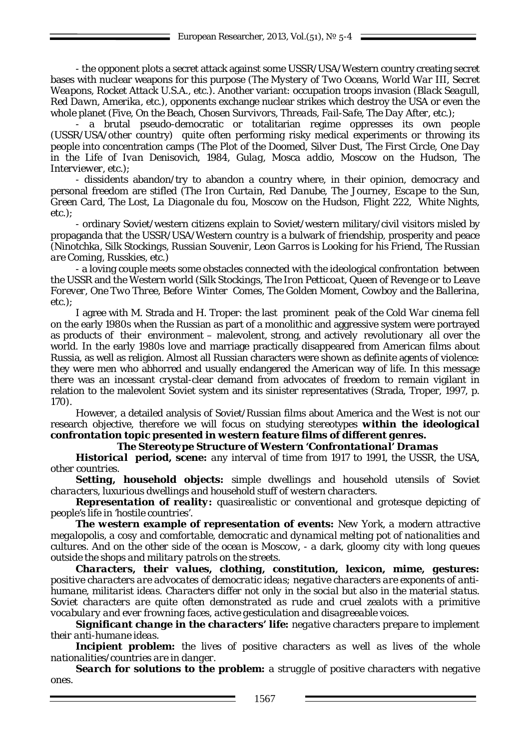European Researcher, 2013, Vol.(51),  $N^{\circ}$  5-4

- the opponent plots a secret attack against some USSR/USA/Western country creating secret bases with nuclear weapons for this purpose (*The Mystery of Two Oceans, World War III, Secret Weapons, Rocket Attack U.S.A., etc.*). Another variant: occupation troops invasion (*Black Seagull, Red Dawn, Amerika, etc.*), opponents exchange nuclear strikes which destroy the USA or even the whole planet (*Five*, *On the Beach, Chosen Survivors*, *Threads*, *Fail-Safe*, *The Day After*, etc.);

a brutal pseudo-democratic or totalitarian regime oppresses its own people (USSR/USA/other country) quite often performing risky medical experiments or throwing its people into concentration camps (*The Plot of the Doomed*, *Silver Dust, The First Circle, One Day in the Life of Ivan Denisovich, 1984*, *Gulag*, *Mosca addio, Moscow on the Hudson*, *The Interviewer*, etc.);

- dissidents abandon/try to abandon a country where, in their opinion, democracy and personal freedom are stifled (*The Iron Curtain*, *Red Danube*, *The Journey*, *Escape to the Sun, Green Card, The Lost, La Diagonale du fou, Moscow on the Hudson, Flight 222, White Nights, etc.*);

- ordinary Soviet/western citizens explain to Soviet/western military/civil visitors misled by propaganda that the USSR/USA/Western country is a bulwark of friendship, prosperity and peace (*Ninotchka*, *Silk Stockings, Russian Souvenir, Leon Garros is Looking for his Friend*, *The Russian are Coming, Russkies, etc.*)

- a loving couple meets some obstacles connected with the ideological confrontation between the USSR and the Western world (*Silk Stockings, The Iron Petticoat, Queen of Revenge or to Leave Forever, One Two Three, Before Winter Comes, The Golden Moment, Cowboy and the Ballerina, etc.*);

I agree with M. Strada and H. Troper: the last prominent peak of the *Cold War* cinema fell on the early 1980s when the Russian as part of a monolithic and aggressive system were portrayed as products of their environment – malevolent, strong, and actively revolutionary all over the world. In the early 1980s love and marriage practically disappeared from American films about Russia, as well as religion. Almost all Russian characters were shown as definite agents of violence: they were men who abhorred and usually endangered the American way of life. In this message there was an incessant crystal-clear demand from advocates of freedom to remain vigilant in relation to the malevolent Soviet system and its sinister representatives (Strada, Troper, 1997, p. 170).

However, a detailed analysis of Soviet/Russian films about America and the West is not our research objective, therefore we will focus on studying stereotypes *within the ideological confrontation topic presented in western feature films of different genres.*

## *The Stereotype Structure of Western 'Confrontational' Dramas*

*Historical period, scene: any interval of time from 1917 to 1991, the USSR, the USA, other countries.*

*Setting, household objects: simple dwellings and household utensils of Soviet characters, luxurious dwellings and household stuff of western characters.*

*Representation of reality: quasirealistic or conventional and grotesque depicting of people's life in 'hostile countries'.*

*The western example of representation of events: New York, a modern attractive megalopolis, a cosy and comfortable, democratic and dynamical melting pot of nationalities and cultures. And on the other side of the ocean is Moscow, - a dark, gloomy city with long queues outside the shops and military patrols on the streets.*

*Characters, their values, clothing, constitution, lexicon, mime, gestures: positive characters are advocates of democratic ideas; negative characters are exponents of antihumane, militarist ideas. Characters differ not only in the social but also in the material status. Soviet characters are quite often demonstrated as rude and cruel zealots with a primitive vocabulary and ever frowning faces, active gesticulation and disagreeable voices.*

*Significant change in the characters' life: negative characters prepare to implement their anti-humane ideas.*

*Incipient problem: the lives of positive characters as well as lives of the whole nationalities/countries are in danger.*

*Search for solutions to the problem: a struggle of positive characters with negative ones.*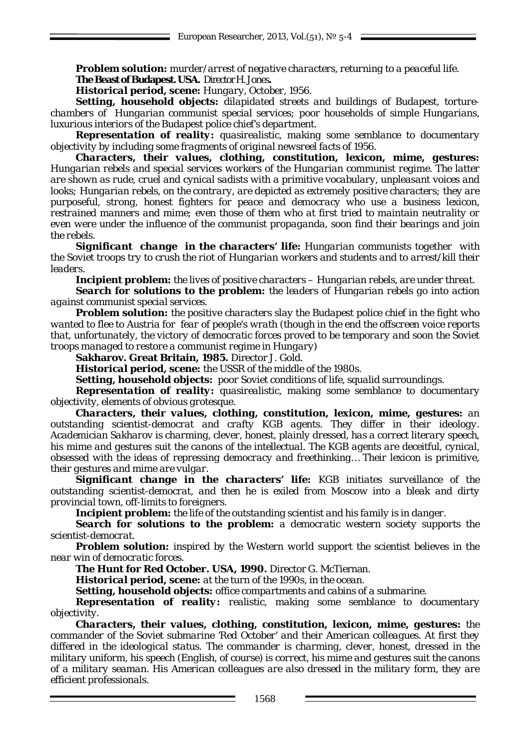*Problem solution: murder/arrest of negative characters, returning to a peaceful life.* **The Beast of Budapest. USA.** Director H. Jones**.**

*Historical period, scene: Hungary, October, 1956.*

*Setting, household objects: dilapidated streets and buildings of Budapest, torturechambers of Hungarian communist special services; poor households of simple Hungarians, luxurious interiors of the Budapest police chief's department.*

*Representation of reality: quasirealistic, making some semblance to documentary objectivity by including some fragments of original newsreel facts of 1956.* 

*Characters, their values, clothing, constitution, lexicon, mime, gestures: Hungarian rebels and special services workers of the Hungarian communist regime. The latter are shown as rude, cruel and cynical sadists with a primitive vocabulary, unpleasant voices and looks; Hungarian rebels, on the contrary, are depicted as extremely positive characters; they are purposeful, strong, honest fighters for peace and democracy who use a business lexicon, restrained manners and mime; even those of them who at first tried to maintain neutrality or even were under the influence of the communist propaganda, soon find their bearings and join the rebels.*

*Significant change in the characters' life: Hungarian communists together with the Soviet troops try to crush the riot of Hungarian workers and students and to arrest/kill their leaders.*

*Incipient problem: the lives of positive characters – Hungarian rebels, are under threat.*

*Search for solutions to the problem: the leaders of Hungarian rebels go into action against communist special services.*

*Problem solution: the positive characters slay the Budapest police chief in the fight who wanted to flee to Austria for fear of people's wrath (though in the end the offscreen voice reports that, unfortunately, the victory of democratic forces proved to be temporary and soon the Soviet troops managed to restore a communist regime in Hungary)*

**Sakharov. Great Britain, 1985.** Director J. Gold.

*Historical period, scene:* the *USSR of the middle of the 1980s.*

*Setting, household objects: poor Soviet conditions of life, squalid surroundings.*

*Representation of reality: quasirealistic, making some semblance to documentary objectivity, elements of obvious grotesque.*

*Characters, their values, clothing, constitution, lexicon, mime, gestures: an outstanding scientist-democrat and crafty KGB agents. They differ in their ideology. Academician Sakharov is charming, clever, honest, plainly dressed, has a correct literary speech, his mime and gestures suit the canons of the intellectual. The KGB agents are deceitful, cynical, obsessed with the ideas of repressing democracy and freethinking… Their lexicon is primitive, their gestures and mime are vulgar.*

*Significant change in the characters' life: KGB initiates surveillance of the outstanding scientist-democrat, and then he is exiled from Moscow into a bleak and dirty provincial town, off-limits to foreigners.*

*Incipient problem: the life of the outstanding scientist and his family is in danger.*

*Search for solutions to the problem: a democratic western society supports the scientist-democrat.*

*Problem solution: inspired by the Western world support the scientist believes in the near win of democratic forces.* 

**The Hunt for Red October. USA, 1990.** Director G. McTiernan.

*Historical period, scene: at the turn of the 1990s, in the ocean.* 

*Setting, household objects: office compartments and cabins of a submarine.*

*Representation of reality: realistic, making some semblance to documentary objectivity.*

*Characters, their values, clothing, constitution, lexicon, mime, gestures: the commander of the Soviet submarine 'Red October' and their American colleagues. At first they differed in the ideological status. The commander is charming, clever, honest, dressed in the military uniform, his speech (English, of course) is correct, his mime and gestures suit the canons of a military seaman. His American colleagues are also dressed in the military form, they are efficient professionals.*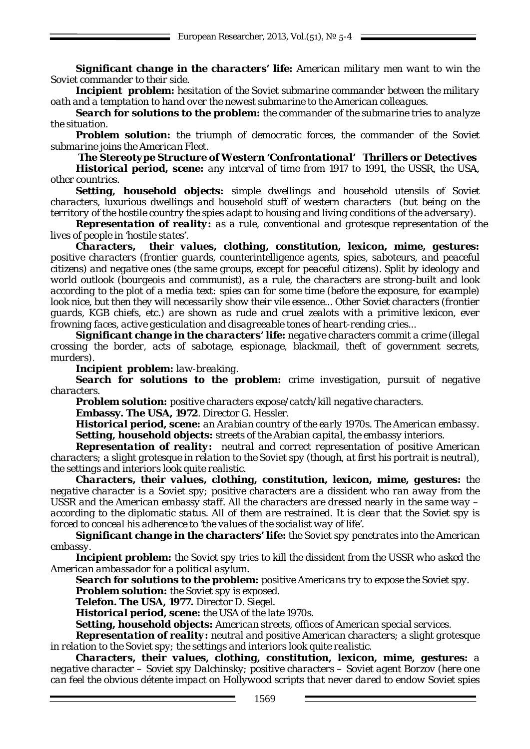*Significant change in the characters' life: American military men want to win the Soviet commander to their side.*

*Incipient problem: hesitation of the Soviet submarine commander between the military oath and a temptation to hand over the newest submarine to the American colleagues.*

*Search for solutions to the problem: the commander of the submarine tries to analyze the situation.*

*Problem solution: the triumph of democratic forces, the commander of the Soviet submarine joins the American Fleet.*

*The Stereotype Structure of Western 'Confrontational' Thrillers or Detectives*

*Historical period, scene: any interval of time from 1917 to 1991, the USSR, the USA, other countries.*

*Setting, household objects: simple dwellings and household utensils of Soviet characters, luxurious dwellings and household stuff of western characters (but being on the territory of the hostile country the spies adapt to housing and living conditions of the adversary).*

*Representation of reality: as a rule, conventional and grotesque representation of the lives of people in 'hostile states'.*

*Characters, their values, clothing, constitution, lexicon, mime, gestures: positive characters (frontier guards, counterintelligence agents, spies, saboteurs, and peaceful citizens) and negative ones (the same groups, except for peaceful citizens). Split by ideology and world outlook (bourgeois and communist), as a rule, the characters are strong-built and look according to the plot of a media text: spies can for some time (before the exposure, for example) look nice, but then they will necessarily show their vile essence... Other Soviet characters (frontier guards, KGB chiefs, etc.) are shown as rude and cruel zealots with a primitive lexicon, ever frowning faces, active gesticulation and disagreeable tones of heart-rending cries...*

*Significant change in the characters' life: negative characters commit a crime (illegal crossing the border, acts of sabotage, espionage, blackmail, theft of government secrets, murders).*

*Incipient problem: law-breaking.*

*Search for solutions to the problem: crime investigation, pursuit of negative characters.*

*Problem solution: positive characters expose/catch/kill negative characters.*

**Embassy. The USA, 1972**. Director G. Hessler.

*Historical period, scene: an Arabian country of the early 1970s. The American embassy. Setting, household objects: streets of the Arabian capital, the embassy interiors.*

*Representation of reality: neutral and correct representation of positive American characters; a slight grotesque in relation to the Soviet spy (though, at first his portrait is neutral), the settings and interiors look quite realistic.*

*Characters, their values, clothing, constitution, lexicon, mime, gestures: the negative character is a Soviet spy; positive characters are a dissident who ran away from the USSR and the American embassy staff. All the characters are dressed nearly in the same way – according to the diplomatic status. All of them are restrained. It is clear that the Soviet spy is forced to conceal his adherence to 'the values of the socialist way of life'.*

*Significant change in the characters' life: the Soviet spy penetrates into the American embassy.*

*Incipient problem: the Soviet spy tries to kill the dissident from the USSR who asked the American ambassador for a political asylum.*

*Search for solutions to the problem: positive Americans try to expose the Soviet spy.*

*Problem solution: the Soviet spy is exposed.*

**Telefon. The USA, 1977.** Director D. Siegel.

*Historical period, scene: the USA of the late 1970s.* 

*Setting, household objects: American streets, offices of American special services.*

*Representation of reality: neutral and positive American characters; a slight grotesque in relation to the Soviet spy; the settings and interiors look quite realistic.*

*Characters, their values, clothing, constitution, lexicon, mime, gestures: a negative character – Soviet spy Dalchinsky; positive characters – Soviet agent Borzov (here one can feel the obvious détente impact on Hollywood scripts that never dared to endow Soviet spies*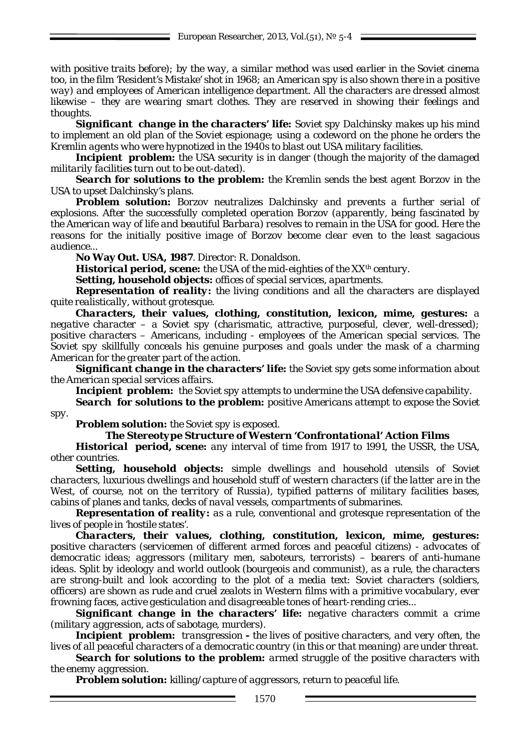*with positive traits before); by the way, a similar method was used earlier in the Soviet cinema too, in the film 'Resident's Mistake' shot in 1968; an American spy is also shown there in a positive way) and employees of American intelligence department. All the characters are dressed almost likewise – they are wearing smart clothes. They are reserved in showing their feelings and thoughts.*

*Significant change in the characters' life: Soviet spy Dalchinsky makes up his mind to implement an old plan of the Soviet espionage; using a codeword on the phone he orders the Kremlin agents who were hypnotized in the 1940s to blast out USA military facilities.*

*Incipient problem: the USA security is in danger (though the majority of the damaged militarily facilities turn out to be out-dated).*

*Search for solutions to the problem: the Kremlin sends the best agent Borzov in the USA to upset Dalchinsky's plans.*

*Problem solution: Borzov neutralizes Dalchinsky and prevents a further serial of explosions. After the successfully completed operation Borzov (apparently, being fascinated by the American way of life and beautiful Barbara) resolves to remain in the USA for good. Here the reasons for the initially positive image of Borzov become clear even to the least sagacious audience...*

**No Way Out. USA, 1987**. Director: R. Donaldson.

*Historical period, scene: the USA of the mid-eighties of the XXth century.*

*Setting, household objects: offices of special services, apartments.* 

*Representation of reality: the living conditions and all the characters are displayed quite realistically, without grotesque.*

*Characters, their values, clothing, constitution, lexicon, mime, gestures: a negative character – a Soviet spy (charismatic, attractive, purposeful, clever, well-dressed); positive characters – Americans, including - employees of the American special services. The Soviet spy skillfully conceals his genuine purposes and goals under the mask of a charming American for the greater part of the action.*

*Significant change in the characters' life: the Soviet spy gets some information about the American special services affairs.*

*Incipient problem: the Soviet spy attempts to undermine the USA defensive capability.*

*Search for solutions to the problem: positive Americans attempt to expose the Soviet spy.*

*Problem solution: the Soviet spy is exposed.*

### *The Stereotype Structure of Western 'Confrontational' Action Films*

*Historical period, scene: any interval of time from 1917 to 1991, the USSR, the USA, other countries.*

*Setting, household objects: simple dwellings and household utensils of Soviet characters, luxurious dwellings and household stuff of western characters (if the latter are in the West, of course, not on the territory of Russia), typified patterns of military facilities bases, cabins of planes and tanks, decks of naval vessels, compartments of submarines.* 

*Representation of reality: as a rule, conventional and grotesque representation of the lives of people in 'hostile states'.*

*Characters, their values, clothing, constitution, lexicon, mime, gestures: positive characters (servicemen of different armed forces and peaceful citizens) - advocates of democratic ideas; aggressors (military men, saboteurs, terrorists) – bearers of anti-humane ideas. Split by ideology and world outlook (bourgeois and communist), as a rule, the characters are strong-built and look according to the plot of a media text: Soviet characters (soldiers, officers) are shown as rude and cruel zealots in Western films with a primitive vocabulary, ever frowning faces, active gesticulation and disagreeable tones of heart-rending cries...*

*Significant change in the characters' life: negative characters commit a crime (military aggression, acts of sabotage, murders).*

*Incipient problem: transgression - the lives of positive characters, and very often, the lives of all peaceful characters of a democratic country (in this or that meaning) are under threat.*

*Search for solutions to the problem: armed struggle of the positive characters with the enemy aggression.*

*Problem solution: killing/capture of aggressors, return to peaceful life.*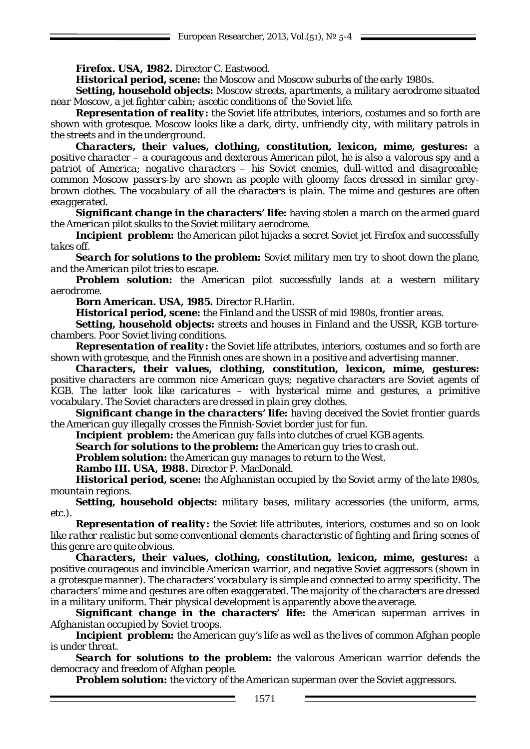European Researcher, 2013, Vol.(51),  $N^{\circ}$  5-4

**Firefox. USA, 1982.** Director C. Eastwood.

*Historical period, scene: the Moscow and Moscow suburbs of the early 1980s.*

*Setting, household objects: Moscow streets, apartments, a military aerodrome situated near Moscow, a jet fighter cabin; ascetic conditions of the Soviet life.*

*Representation of reality: the Soviet life attributes, interiors, costumes and so forth are shown with grotesque. Moscow looks like a dark, dirty, unfriendly city, with military patrols in the streets and in the underground.*

*Characters, their values, clothing, constitution, lexicon, mime, gestures: a positive character – a courageous and dexterous American pilot, he is also a valorous spy and a patriot of America; negative characters – his Soviet enemies, dull-witted and disagreeable; common Moscow passers-by are shown as people with gloomy faces dressed in similar greybrown clothes. The vocabulary of all the characters is plain. The mime and gestures are often exaggerated.*

*Significant change in the characters' life: having stolen a march on the armed guard the American pilot skulks to the Soviet military aerodrome.* 

*Incipient problem: the American pilot hijacks a secret Soviet jet Firefox and successfully takes off.*

*Search for solutions to the problem: Soviet military men try to shoot down the plane, and the American pilot tries to escape.*

*Problem solution: the American pilot successfully lands at a western military aerodrome.*

**Born American. USA, 1985.** Director R.Harlin.

*Historical period, scene: the Finland and the USSR of mid 1980s, frontier areas.*

*Setting, household objects: streets and houses in Finland and the USSR, KGB torturechambers. Poor Soviet living conditions.*

*Representation of reality: the Soviet life attributes, interiors, costumes and so forth are shown with grotesque, and the Finnish ones are shown in a positive and advertising manner.*

*Characters, their values, clothing, constitution, lexicon, mime, gestures: positive characters are common nice American guys; negative characters are Soviet agents of KGB. The latter look like caricatures – with hysterical mime and gestures, a primitive vocabulary. The Soviet characters are dressed in plain grey clothes.*

*Significant change in the characters' life: having deceived the Soviet frontier guards the American guy illegally crosses the Finnish-Soviet border just for fun.*

*Incipient problem: the American guy falls into clutches of cruel KGB agents.*

*Search for solutions to the problem: the American guy tries to crash out.*

*Problem solution: the American guy manages to return to the West.*

**Rambo III. USA, 1988.** Director P. MacDonald.

*Historical period, scene: the Afghanistan occupied by the Soviet army of the late 1980s, mountain regions.* 

*Setting, household objects: military bases, military accessories (the uniform, arms, etc.).*

*Representation of reality: the Soviet life attributes, interiors, costumes and so on look like rather realistic but some conventional elements characteristic of fighting and firing scenes of this genre are quite obvious.*

*Characters, their values, clothing, constitution, lexicon, mime, gestures: a positive courageous and invincible American warrior, and negative Soviet aggressors (shown in a grotesque manner). The characters' vocabulary is simple and connected to army specificity. The characters' mime and gestures are often exaggerated. The majority of the characters are dressed in a military uniform. Their physical development is apparently above the average.*

*Significant change in the characters' life: the American superman arrives in Afghanistan occupied by Soviet troops.*

*Incipient problem: the American guy's life as well as the lives of common Afghan people is under threat.*

*Search for solutions to the problem: the valorous American warrior defends the democracy and freedom of Afghan people.*

*Problem solution: the victory of the American superman over the Soviet aggressors.*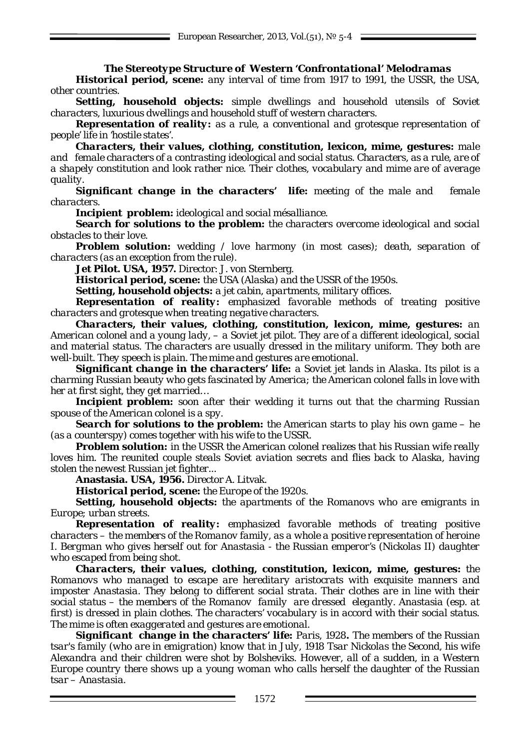# *The Stereotype Structure of Western 'Confrontational' Melodramas*

*Historical period, scene: any interval of time from 1917 to 1991, the USSR, the USA, other countries.*

*Setting, household objects: simple dwellings and household utensils of Soviet characters, luxurious dwellings and household stuff of western characters.* 

*Representation of reality: as a rule, a conventional and grotesque representation of people' life in 'hostile states'.*

*Characters, their values, clothing, constitution, lexicon, mime, gestures: male and female characters of a contrasting ideological and social status. Characters, as a rule, are of a shapely constitution and look rather nice. Their clothes, vocabulary and mime are of average quality.*

*Significant change in the characters' life: meeting of the male and female characters.*

*Incipient problem: ideological and social mésalliance.*

*Search for solutions to the problem: the characters overcome ideological and social obstacles to their love.*

*Problem solution: wedding / love harmony (in most cases); death, separation of characters (as an exception from the rule).*

**Jet Pilot. USA, 1957.** Director: J. von Sternberg.

*Historical period, scene: the USA (Alaska) and the USSR of the 1950s.*

*Setting, household objects: a jet cabin, apartments, military offices.*

*Representation of reality: emphasized favorable methods of treating positive characters and grotesque when treating negative characters.*

*Characters, their values, clothing, constitution, lexicon, mime, gestures: an American colonel and a young lady, – a Soviet jet pilot. They are of a different ideological, social and material status. The characters are usually dressed in the military uniform. They both are well-built. They speech is plain. The mime and gestures are emotional.*

*Significant change in the characters' life: a Soviet jet lands in Alaska. Its pilot is a charming Russian beauty who gets fascinated by America; the American colonel falls in love with her at first sight, they get married…*

*Incipient problem: soon after their wedding it turns out that the charming Russian spouse of the American colonel is a spy.*

*Search for solutions to the problem: the American starts to play his own game – he (as a counterspy) comes together with his wife to the USSR.*

*Problem solution: in the USSR the American colonel realizes that his Russian wife really loves him. The reunited couple steals Soviet aviation secrets and flies back to Alaska, having stolen the newest Russian jet fighter...*

**Anastasia. USA, 1956.** Director A. Litvak.

*Historical period, scene: the Europe of the 1920s.*

*Setting, household objects: the apartments of the Romanovs who are emigrants in Europe; urban streets.*

*Representation of reality: emphasized favorable methods of treating positive characters – the members of the Romanov family, as a whole a positive representation of heroine I. Bergman who gives herself out for Anastasia - the Russian emperor's (Nickolas II) daughter who escaped from being shot.*

*Characters, their values, clothing, constitution, lexicon, mime, gestures: the Romanovs who managed to escape are hereditary aristocrats with exquisite manners and imposter Anastasia. They belong to different social strata. Their clothes are in line with their social status – the members of the Romanov family are dressed elegantly. Anastasia (esp. at first) is dressed in plain clothes. The characters' vocabulary is in accord with their social status. The mime is often exaggerated and gestures are emotional.*

*Significant change in the characters' life: Paris, 1928. The members of the Russian tsar's family (who are in emigration) know that in July, 1918 Tsar Nickolas the Second, his wife Alexandra and their children were shot by Bolsheviks. However, all of a sudden, in a Western Europe country there shows up a young woman who calls herself the daughter of the Russian tsar – Anastasia.*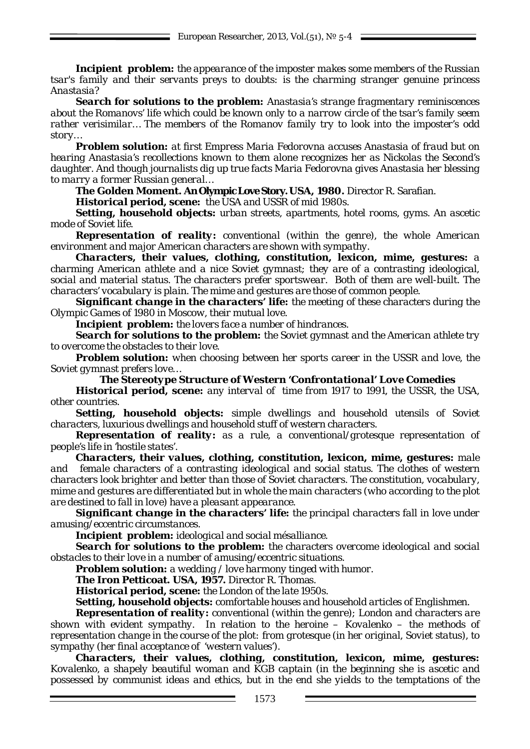*Incipient problem: the appearance of the imposter makes some members of the Russian tsar's family and their servants preys to doubts: is the charming stranger genuine princess Anastasia?*

*Search for solutions to the problem: Anastasia's strange fragmentary reminiscences about the Romanovs' life which could be known only to a narrow circle of the tsar's family seem rather verisimilar… The members of the Romanov family try to look into the imposter's odd story…*

*Problem solution: at first Empress Maria Fedorovna accuses Anastasia of fraud but on hearing Anastasia's recollections known to them alone recognizes her as Nickolas the Second's daughter. And though journalists dig up true facts Maria Fedorovna gives Anastasia her blessing to marry a former Russian general…*

**The Golden Moment. An Olympic Love Story. USA, 1980.** Director R. Sarafian.

*Historical period, scene: the USA and USSR of mid 1980s.*

*Setting, household objects: urban streets, apartments, hotel rooms, gyms. An ascetic mode of Soviet life.*

*Representation of reality: conventional (within the genre), the whole American environment and major American characters are shown with sympathy.*

*Characters, their values, clothing, constitution, lexicon, mime, gestures: a charming American athlete and a nice Soviet gymnast; they are of a contrasting ideological, social and material status. The characters prefer sportswear. Both of them are well-built. The characters' vocabulary is plain. The mime and gestures are those of common people.*

*Significant change in the characters' life: the meeting of these characters during the Olympic Games of 1980 in Moscow, their mutual love.*

*Incipient problem: the lovers face a number of hindrances.*

*Search for solutions to the problem: the Soviet gymnast and the American athlete try to overcome the obstacles to their love.* 

*Problem solution: when choosing between her sports career in the USSR and love, the Soviet gymnast prefers love…*

*The Stereotype Structure of Western 'Confrontational' Love Comedies* 

*Historical period, scene: any interval of time from 1917 to 1991, the USSR, the USA, other countries.*

*Setting, household objects: simple dwellings and household utensils of Soviet characters, luxurious dwellings and household stuff of western characters.* 

*Representation of reality: as a rule, a conventional/grotesque representation of people's life in 'hostile states'.*

*Characters, their values, clothing, constitution, lexicon, mime, gestures: male and female characters of a contrasting ideological and social status. The clothes of western characters look brighter and better than those of Soviet characters. The constitution, vocabulary, mime and gestures are differentiated but in whole the main characters (who according to the plot are destined to fall in love) have a pleasant appearance.* 

*Significant change in the characters' life: the principal characters fall in love under amusing/eccentric circumstances.*

*Incipient problem: ideological and social mésalliance.*

*Search for solutions to the problem: the characters overcome ideological and social obstacles to their love in a number of amusing/eccentric situations.* 

*Problem solution: a wedding / love harmony tinged with humor.*

**The Iron Petticoat. USA, 1957.** Director R. Thomas.

*Historical period, scene: the London of the late 1950s.*

*Setting, household objects: comfortable houses and household articles of Englishmen.* 

*Representation of reality: conventional (within the genre); London and characters are shown with evident sympathy. In relation to the heroine – Kovalenko – the methods of representation change in the course of the plot: from grotesque (in her original, Soviet status), to sympathy (her final acceptance of 'western values').*

*Characters, their values, clothing, constitution, lexicon, mime, gestures: Kovalenko, a shapely beautiful woman and KGB captain (in the beginning she is ascetic and possessed by communist ideas and ethics, but in the end she yields to the temptations of the*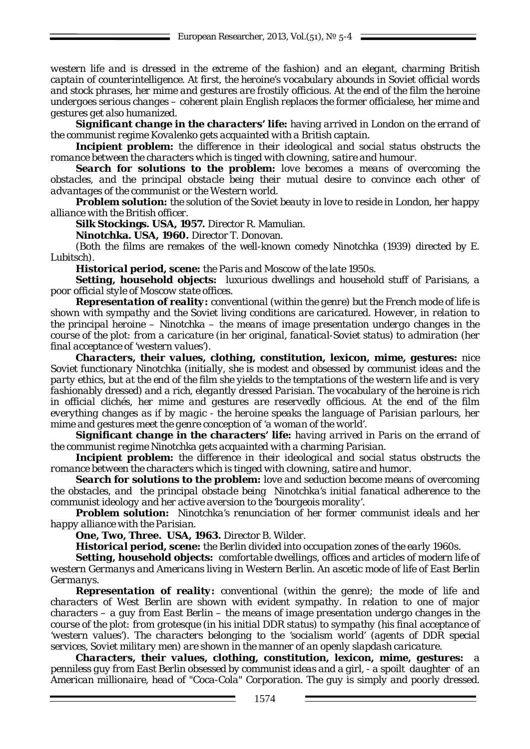*western life and is dressed in the extreme of the fashion) and an elegant, charming British captain of counterintelligence. At first, the heroine's vocabulary abounds in Soviet official words and stock phrases, her mime and gestures are frostily officious. At the end of the film the heroine undergoes serious changes – coherent plain English replaces the former officialese, her mime and gestures get also humanized.*

*Significant change in the characters' life: having arrived in London on the errand of the communist regime Kovalenko gets acquainted with a British captain.*

*Incipient problem: the difference in their ideological and social status obstructs the romance between the characters which is tinged with clowning, satire and humour.*

*Search for solutions to the problem: love becomes a means of overcoming the obstacles, and the principal obstacle being their mutual desire to convince each other of advantages of the communist or the Western world.*

*Problem solution: the solution of the Soviet beauty in love to reside in London, her happy alliance with the British officer.*

**Silk Stockings. USA, 1957.** Director R. Mamulian.

**Ninotchka. USA, 1960.** Director T. Donovan.

(Both the films are remakes of the well-known comedy *Ninotchka* (1939) directed by E. Lubitsch).

*Historical period, scene: the Paris and Moscow of the late 1950s.*

*Setting, household objects: luxurious dwellings and household stuff of Parisians, a poor official style of Moscow state offices.*

*Representation of reality: conventional (within the genre) but the French mode of life is shown with sympathy and the Soviet living conditions are caricatured. However, in relation to the principal heroine – Ninotchka – the means of image presentation undergo changes in the course of the plot: from a caricature (in her original, fanatical-Soviet status) to admiration (her final acceptance of 'western values').*

*Characters, their values, clothing, constitution, lexicon, mime, gestures: nice Soviet functionary Ninotchka (initially, she is modest and obsessed by communist ideas and the party ethics, but at the end of the film she yields to the temptations of the western life and is very fashionably dressed) and a rich, elegantly dressed Parisian. The vocabulary of the heroine is rich in official clichés, her mime and gestures are reservedly officious. At the end of the film everything changes as if by magic - the heroine speaks the language of Parisian parlours, her mime and gestures meet the genre conception of 'a woman of the world'.* 

*Significant change in the characters' life: having arrived in Paris on the errand of the communist regime Ninotchka gets acquainted with a charming Parisian.*

*Incipient problem: the difference in their ideological and social status obstructs the romance between the characters which is tinged with clowning, satire and humor.*

*Search for solutions to the problem: love and seduction become means of overcoming the obstacles, and the principal obstacle being Ninotchka's initial fanatical adherence to the communist ideology and her active aversion to the 'bourgeois morality'.*

*Problem solution: Ninotchka's renunciation of her former communist ideals and her happy alliance with the Parisian.*

**One, Two, Three. USA, 1963.** Director B. Wilder.

*Historical period, scene: the Berlin divided into occupation zones of the early 1960s.* 

*Setting, household objects: comfortable dwellings, offices and articles of modern life of western Germanys and Americans living in Western Berlin. An ascetic mode of life of East Berlin Germanys.*

*Representation of reality: conventional (within the genre); the mode of life and characters of West Berlin are shown with evident sympathy. In relation to one of major characters – a guy from East Berlin – the means of image presentation undergo changes in the course of the plot: from grotesque (in his initial DDR status) to sympathy (his final acceptance of 'western values'). The characters belonging to the 'socialism world' (agents of DDR special services, Soviet military men) are shown in the manner of an openly slapdash caricature.*

*Characters, their values, clothing, constitution, lexicon, mime, gestures: a penniless guy from East Berlin obsessed by communist ideas and a girl, - a spoilt daughter of an American millionaire, head of "Coca-Cola" Corporation. The guy is simply and poorly dressed.*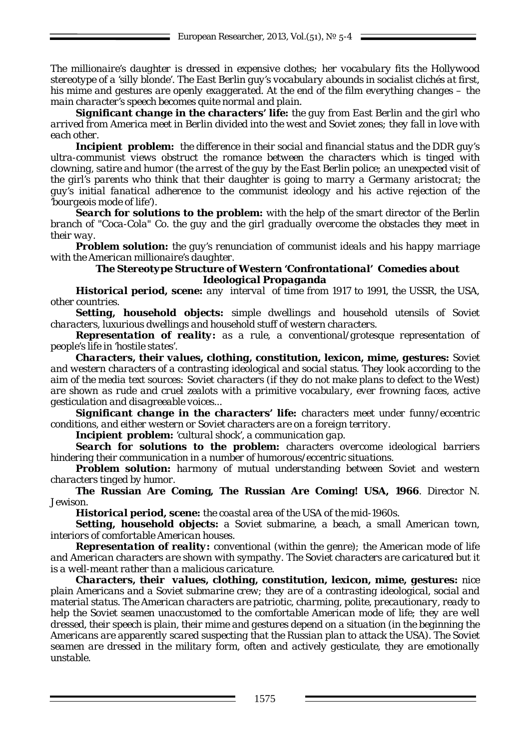*The millionaire's daughter is dressed in expensive clothes; her vocabulary fits the Hollywood stereotype of a 'silly blonde'. The East Berlin guy's vocabulary abounds in socialist clichés at first, his mime and gestures are openly exaggerated. At the end of the film everything changes – the main character's speech becomes quite normal and plain.*

*Significant change in the characters' life: the guy from East Berlin and the girl who arrived from America meet in Berlin divided into the west and Soviet zones; they fall in love with each other.*

*Incipient problem: the difference in their social and financial status and the DDR guy's ultra-communist views obstruct the romance between the characters which is tinged with clowning, satire and humor (the arrest of the guy by the East Berlin police; an unexpected visit of the girl's parents who think that their daughter is going to marry a Germany aristocrat; the guy's initial fanatical adherence to the communist ideology and his active rejection of the 'bourgeois mode of life').*

*Search for solutions to the problem: with the help of the smart director of the Berlin branch of "Coca-Cola" Co. the guy and the girl gradually overcome the obstacles they meet in their way.* 

*Problem solution: the guy's renunciation of communist ideals and his happy marriage with the American millionaire's daughter.*

#### *The Stereotype Structure of Western 'Confrontational' Comedies about Ideological Propaganda*

*Historical period, scene: any interval of time from 1917 to 1991, the USSR, the USA, other countries.*

*Setting, household objects: simple dwellings and household utensils of Soviet characters, luxurious dwellings and household stuff of western characters.* 

*Representation of reality: as a rule, a conventional/grotesque representation of people's life in 'hostile states'.*

*Characters, their values, clothing, constitution, lexicon, mime, gestures: Soviet and western characters of a contrasting ideological and social status. They look according to the aim of the media text sources: Soviet characters (if they do not make plans to defect to the West) are shown as rude and cruel zealots with a primitive vocabulary, ever frowning faces, active gesticulation and disagreeable voices...*

*Significant change in the characters' life: characters meet under funny/eccentric conditions, and either western or Soviet characters are on a foreign territory.*

*Incipient problem: 'cultural shock', a communication gap.*

*Search for solutions to the problem: characters overcome ideological barriers hindering their communication in a number of humorous/eccentric situations.*

*Problem solution: harmony of mutual understanding between Soviet and western characters tinged by humor.*

**The Russian Are Coming, The Russian Are Coming! USA, 1966**. Director N. Jewison.

*Historical period, scene: the coastal area of the USA of the mid-1960s.*

*Setting, household objects: a Soviet submarine, a beach, a small American town, interiors of comfortable American houses.*

*Representation of reality: conventional (within the genre); the American mode of life and American characters are shown with sympathy. The Soviet characters are caricatured but it is a well-meant rather than a malicious caricature.*

*Characters, their values, clothing, constitution, lexicon, mime, gestures: nice plain Americans and a Soviet submarine crew; they are of a contrasting ideological, social and material status. The American characters are patriotic, charming, polite, precautionary, ready to help the Soviet seamen unaccustomed to the comfortable American mode of life; they are well dressed, their speech is plain, their mime and gestures depend on a situation (in the beginning the Americans are apparently scared suspecting that the Russian plan to attack the USA). The Soviet seamen are dressed in the military form, often and actively gesticulate, they are emotionally unstable.*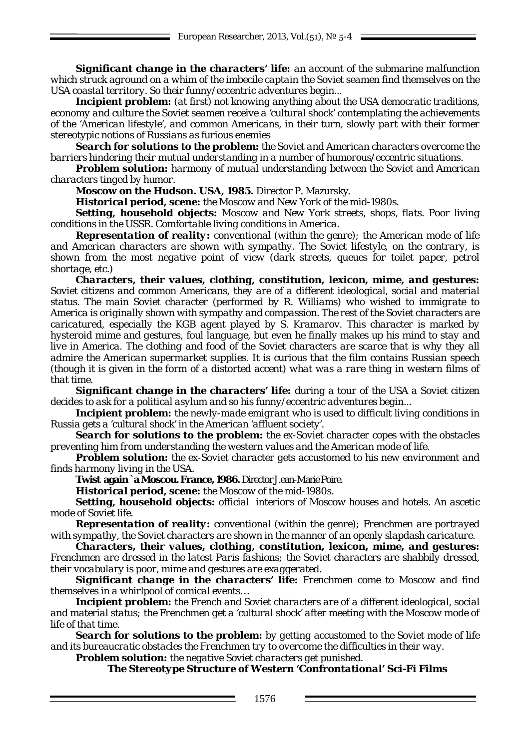*Significant change in the characters' life: an account of the submarine malfunction which struck aground on a whim of the imbecile captain the Soviet seamen find themselves on the USA coastal territory. So their funny/eccentric adventures begin...* 

*Incipient problem: (at first) not knowing anything about the USA democratic traditions, economy and culture the Soviet seamen receive a 'cultural shock' contemplating the achievements of the 'American lifestyle', and common Americans, in their turn, slowly part with their former stereotypic notions of Russians as furious enemies* 

*Search for solutions to the problem: the Soviet and American characters overcome the barriers hindering their mutual understanding in a number of humorous/eccentric situations.* 

*Problem solution: harmony of mutual understanding between the Soviet and American characters tinged by humor.*

**Moscow on the Hudson. USA, 1985.** Director P. Mazursky.

*Historical period, scene: the Moscow and New York of the mid-1980s.*

*Setting, household objects: Moscow and New York streets, shops, flats. Poor living conditions in the USSR. Comfortable living conditions in America.* 

*Representation of reality: conventional (within the genre); the American mode of life and American characters are shown with sympathy. The Soviet lifestyle, on the contrary, is shown from the most negative point of view (dark streets, queues for toilet paper, petrol shortage, etc.)*

*Characters, their values, clothing, constitution, lexicon, mime, and gestures: Soviet citizens and common Americans, they are of a different ideological, social and material status. The main Soviet character (performed by R. Williams) who wished to immigrate to America is originally shown with sympathy and compassion. The rest of the Soviet characters are caricatured, especially the KGB agent played by S. Kramarov. This character is marked by hysteroid mime and gestures, foul language, but even he finally makes up his mind to stay and live in America. The clothing and food of the Soviet characters are scarce that is why they all admire the American supermarket supplies. It is curious that the film contains Russian speech (though it is given in the form of a distorted accent) what was a rare thing in western films of that time.*

*Significant change in the characters' life: during a tour of the USA a Soviet citizen decides to ask for a political asylum and so his funny/eccentric adventures begin...*

*Incipient problem: the newly-made emigrant who is used to difficult living conditions in Russia gets a 'cultural shock' in the American 'affluent society'.*

*Search for solutions to the problem: the ex-Soviet character copes with the obstacles preventing him from understanding the western values and the American mode of life.*

*Problem solution: the ex-Soviet character gets accustomed to his new environment and finds harmony living in the USA.*

**Twist again `a Moscou. France[, 1986.](http://www.imdb.com/Sections/Years/1986)** Director J.ean-Marie Poire.

*Historical period, scene: the Moscow of the mid-1980s.*

*Setting, household objects: official interiors of Moscow houses and hotels. An ascetic mode of Soviet life.*

*Representation of reality: conventional (within the genre); Frenchmen are portrayed with sympathy, the Soviet characters are shown in the manner of an openly slapdash caricature.*

*Characters, their values, clothing, constitution, lexicon, mime, and gestures: Frenchmen are dressed in the latest Paris fashions; the Soviet characters are shabbily dressed, their vocabulary is poor, mime and gestures are exaggerated.*

*Significant change in the characters' life: Frenchmen come to Moscow and find themselves in a whirlpool of comical events…*

*Incipient problem: the French and Soviet characters are of a different ideological, social and material status; the Frenchmen get a 'cultural shock' after meeting with the Moscow mode of life of that time.*

*Search for solutions to the problem: by getting accustomed to the Soviet mode of life and its bureaucratic obstacles the Frenchmen try to overcome the difficulties in their way.*

*Problem solution: the negative Soviet characters get punished.* 

*The Stereotype Structure of Western 'Confrontational' Sci-Fi Films*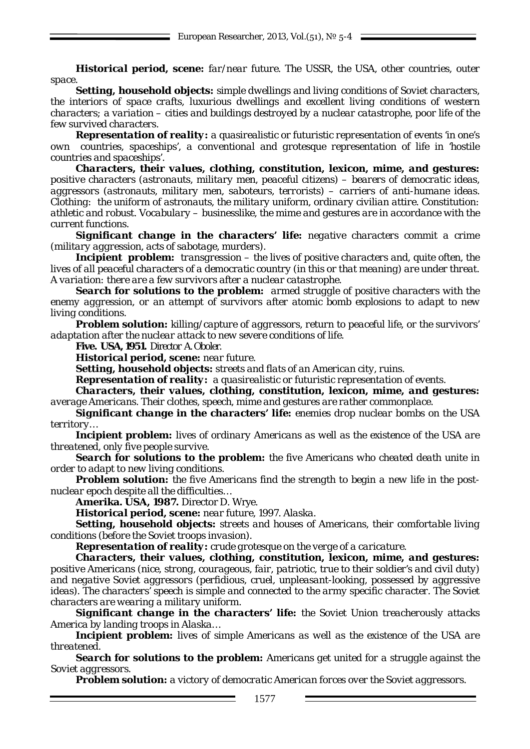*Historical period, scene: far/near future. The USSR, the USA, other countries, outer space.*

*Setting, household objects: simple dwellings and living conditions of Soviet characters, the interiors of space crafts, luxurious dwellings and excellent living conditions of western characters; a variation – cities and buildings destroyed by a nuclear catastrophe, poor life of the few survived characters.*

*Representation of reality: a quasirealistic or futuristic representation of events 'in one's own countries, spaceships', a conventional and grotesque representation of life in 'hostile countries and spaceships'.*

*Characters, their values, clothing, constitution, lexicon, mime, and gestures: positive characters (astronauts, military men, peaceful citizens) – bearers of democratic ideas, aggressors (astronauts, military men, saboteurs, terrorists) – carriers of anti-humane ideas. Clothing: the uniform of astronauts, the military uniform, ordinary civilian attire. Constitution: athletic and robust. Vocabulary – businesslike, the mime and gestures are in accordance with the current functions.*

*Significant change in the characters' life: negative characters commit a crime (military aggression, acts of sabotage, murders).*

*Incipient problem: transgression – the lives of positive characters and, quite often, the lives of all peaceful characters of a democratic country (in this or that meaning) are under threat. A variation: there are a few survivors after a nuclear catastrophe.*

*Search for solutions to the problem: armed struggle of positive characters with the enemy aggression, or an attempt of survivors after atomic bomb explosions to adapt to new living conditions.*

*Problem solution: killing/capture of aggressors, return to peaceful life, or the survivors' adaptation after the nuclear attack to new severe conditions of life.*

**Five. USA[, 1951.](http://www.imdb.com/Sections/Years/1951)** Director A. Oboler.

*Historical period, scene: near future.*

*Setting, household objects: streets and flats of an American city, ruins.*

*Representation of reality: a quasirealistic or futuristic representation of events.* 

*Characters, their values, clothing, constitution, lexicon, mime, and gestures: average Americans. Their clothes, speech, mime and gestures are rather commonplace.*

*Significant change in the characters' life: enemies drop nuclear bombs on the USA territory…*

*Incipient problem: lives of ordinary Americans as well as the existence of the USA are threatened, only five people survive.*

*Search for solutions to the problem: the five Americans who cheated death unite in order to adapt to new living conditions.*

*Problem solution: the five Americans find the strength to begin a new life in the postnuclear epoch despite all the difficulties…*

**Amerika. USA, 1987.** Director D. Wrye.

*Historical period, scene: near future, 1997. Alaska.*

*Setting, household objects: streets and houses of Americans, their comfortable living conditions (before the Soviet troops invasion).*

*Representation of reality: crude grotesque on the verge of a caricature.*

*Characters, their values, clothing, constitution, lexicon, mime, and gestures: positive Americans (nice, strong, courageous, fair, patriotic, true to their soldier's and civil duty) and negative Soviet aggressors (perfidious, cruel, unpleasant-looking, possessed by aggressive ideas). The characters' speech is simple and connected to the army specific character. The Soviet characters are wearing a military uniform.*

*Significant change in the characters' life: the Soviet Union treacherously attacks America by landing troops in Alaska…*

*Incipient problem: lives of simple Americans as well as the existence of the USA are threatened.*

*Search for solutions to the problem: Americans get united for a struggle against the Soviet aggressors.*

*Problem solution: a victory of democratic American forces over the Soviet aggressors.*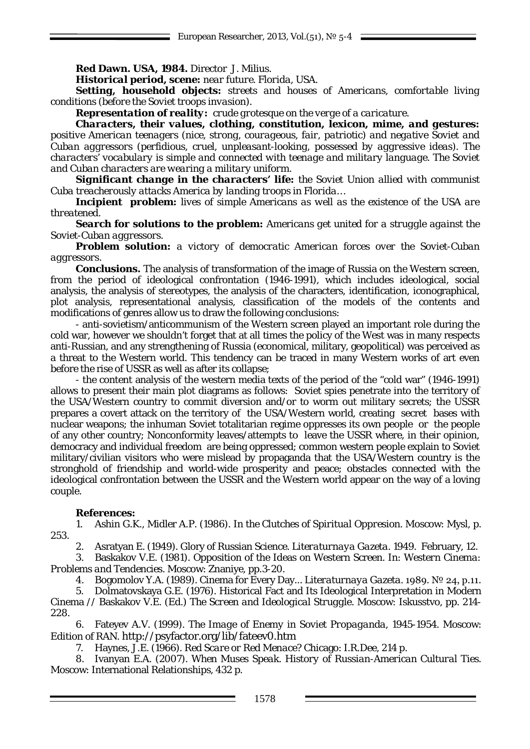**Red Dawn. USA, 1984.** Director J. Milius.

*Historical period, scene: near future. Florida, USA.*

*Setting, household objects: streets and houses of Americans, comfortable living conditions (before the Soviet troops invasion).*

*Representation of reality: crude grotesque on the verge of a caricature.*

*Characters, their values, clothing, constitution, lexicon, mime, and gestures: positive American teenagers (nice, strong, courageous, fair, patriotic) and negative Soviet and Cuban aggressors (perfidious, cruel, unpleasant-looking, possessed by aggressive ideas). The characters' vocabulary is simple and connected with teenage and military language. The Soviet and Cuban characters are wearing a military uniform.*

*Significant change in the characters' life: the Soviet Union allied with communist Cuba treacherously attacks America by landing troops in Florida…*

*Incipient problem: lives of simple Americans as well as the existence of the USA are threatened.*

*Search for solutions to the problem: Americans get united for a struggle against the Soviet-Cuban aggressors.*

*Problem solution: a victory of democratic American forces over the Soviet-Cuban aggressors.*

**Conclusions.** The analysis of transformation of the image of Russia on the Western screen, from the period of ideological confrontation (1946-1991), which includes ideological, social analysis, the analysis of stereotypes, the analysis of the characters, identification, iconographical, plot analysis, representational analysis, classification of the models of the contents and modifications of genres allow us to draw the following conclusions:

- anti-sovietism/anticommunism of the Western screen played an important role during the cold war, however we shouldn't forget that at all times the policy of the West was in many respects anti-Russian, and any strengthening of Russia (economical, military, geopolitical) was perceived as a threat to the Western world. This tendency can be traced in many Western works of art even before the rise of USSR as well as after its collapse;

- the content analysis of the western media texts of the period of the "cold war" (1946-1991) allows to present their main plot diagrams as follows: Soviet spies penetrate into the territory of the USA/Western country to commit diversion and/or to worm out military secrets; the USSR prepares a covert attack on the territory of the USA/Western world, creating secret bases with nuclear weapons; the inhuman Soviet totalitarian regime oppresses its own people or the people of any other country; Nonconformity leaves/attempts to leave the USSR where, in their opinion, democracy and individual freedom are being oppressed; common western people explain to Soviet military/civilian visitors who were mislead by propaganda that the USA/Western country is the stronghold of friendship and world-wide prosperity and peace; obstacles connected with the ideological confrontation between the USSR and the Western world appear on the way of a loving couple.

# **References:**

1. Ashin G.K., Midler A.P. (1986). *In the Clutches of Spiritual Oppresion.* Moscow: Mysl, p. 253.

2. Asratyan E. (1949). Glory of Russian Science. *Literaturnaya Gazeta.* 1949. February, 12.

3. Baskakov V.E. (1981). Opposition of the Ideas on Western Screen. In: *Western Cinema: Problems and Tendencies*. Moscow: Znaniye, pp.3-20.

4. Bogomolov Y.A. (1989). Cinema for Every Day... *Literaturnaya Gazeta.* 1989. № 24, p.11.

5. Dolmatovskaya G.E. (1976). Historical Fact and Its Ideological Interpretation in Modern Cinema // Baskakov V.E. (Ed.) *The Screen and Ideological Struggle*. Moscow: Iskusstvo, pp. 214- 228.

6. Fateyev A.V. (1999). *The Image of Enemy in Soviet Propaganda, 1945-1954.* Moscow: Edition of RAN.<http://psyfactor.org/lib/fateev0.htm>

7. Haynes, J.E. (1966). *Red Scare or Red Menace?* Chicago: I.R.Dee, 214 p.

8. Ivanyan E.A. (2007). *When Muses Speak. History of Russian-American Cultural Ties.* Moscow: International Relationships, 432 p.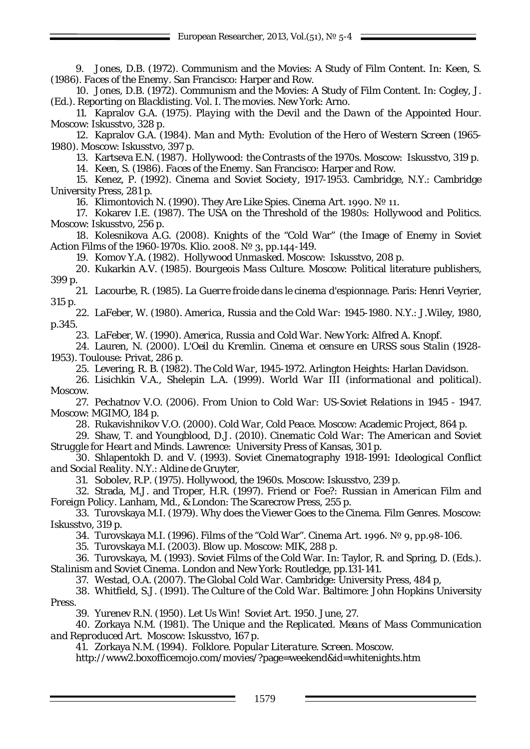9. Jones, D.B. (1972). Communism and the Movies: A Study of Film Content. In: Keen, S. (1986). *Faces of the Enemy.* San Francisco: Harper and Row.

10. Jones, D.B. (1972). Communism and the Movies: A Study of Film Content. In: Cogley, J. (Ed.). *Reporting on Blacklisting. Vol. I. The movies.* New York: Arno.

11. Kapralov G.A. (1975). *Playing with the Devil and the Dawn of the Appointed Hour.* Moscow: Iskusstvo, 328 p.

12. Kapralov G.A. (1984). *Man and Myth: Evolution of the Hero of Western Screen (1965- 1980).* Moscow: Iskusstvo, 397 p.

13. Kartseva E.N. (1987). *Hollywood: the Contrasts of the 1970s.* Moscow: Iskusstvo, 319 p.

14. Keen, S. (1986). *Faces of the Enemy.* San Francisco: Harper and Row.

15. Kenez, P. (1992). *Cinema and Soviet Society, 1917-1953.* Cambridge, N.Y.: Cambridge University Press, 281 p.

16. Klimontovich N. (1990). They Are Like Spies. *Cinema Art.* 1990. № 11.

17. Kokarev I.E. (1987). *The USA on the Threshold of the 1980s: Hollywood and Politics.* Moscow: Iskusstvo, 256 p.

18. Kolesnikova A.G. (2008). Knights of the "Cold War" (the Image of Enemy in Soviet Action Films of the 1960-1970s. *Klio.* 2008. № 3, pp.144-149.

19. Komov Y.A. (1982). *Hollywood Unmasked.* Moscow: Iskusstvo, 208 p.

20. Kukarkin A.V. (1985). *Bourgeois Mass Culture.* Moscow: Political literature publishers, 399 p.

21. Lacourbe, R. (1985). *La Guerre froide dans le cinema d'espionnage.* Paris: Henri Veyrier, 315 p.

22. LaFeber, W. (1980). *America, Russia and the Cold War: 1945-1980.* N.Y.: J.Wiley, 1980, p.345.

23. LaFeber, W. (1990). *America, Russia and Cold War.* New York: Alfred A. Knopf.

24. Lauren, N. (2000). *L'Oeil du Kremlin. Cinema et censure en URSS sous Stalin (1928- 1953).* Toulouse: Privat, 286 p.

25. Levering, R. B. (1982). *The Cold War, 1945-1972.* Arlington Heights: Harlan Davidson.

26. Lisichkin V.A., Shelepin L.A. (1999). *World War III (informational and political).* Moscow.

27. Pechatnov V.O. (2006). *From Union to Cold War: US-Soviet Relations in 1945 - 1947.* Moscow: MGIMO, 184 p.

28. Rukavishnikov V.O. (2000). *Cold War, Cold Peace.* Moscow: Academic Project, 864 p.

29. Shaw, T. and Youngblood, D.J. (2010). *Cinematic Cold War: The American and Soviet Struggle for Heart and Minds*. Lawrence: University Press of Kansas, 301 p.

30. Shlapentokh D. and V. (1993). *Soviet Cinematography 1918-1991: Ideological Conflict and Social Reality.* N.Y.: Aldine de Gruyter,

31. Sobolev, R.P. (1975). *Hollywood, the 1960s.* Moscow: Iskusstvo, 239 p.

32. Strada, M.J. and Troper, H.R. (1997). *Friend or Foe?: Russian in American Film and Foreign Policy.* Lanham, Md., & London: The Scarecrow Press, 255 p.

33. Turovskaya M.I. (1979). Why does the Viewer Goes to the Cinema. *Film Genres.* Moscow: Iskusstvo, 319 p.

34. Turovskaya M.I. (1996). Films of the "Cold War". *Cinema Art.* 1996. № 9, pp.98-106.

35. Turovskaya M.I. (2003). *Blow up.* Moscow: MIK, 288 p.

36. Turovskaya, M. (1993). Soviet Films of the Cold War. In: Taylor, R. and Spring, D. (Eds.). *Stalinism and Soviet Cinema.* London and New York: Routledge, pp.131-141.

37. Westad, O.A. (2007). *The Global Cold War.* Cambridge: University Press, 484 p,

38. Whitfield, S.J. (1991). *The Culture of the Cold War.* Baltimore: John Hopkins University Press.

39. Yurenev R.N. (1950). Let Us Win! *Soviet Art.* 1950. June, 27.

40. Zorkaya N.M. (1981). *The Unique and the Replicated. Means of Mass Communication and Reproduced Art.* Moscow: Iskusstvo, 167 p.

41. Zorkaya N.M. (1994). *Folklore. Popular Literature. Screen.* Moscow.

http://www2.boxofficemojo.com/movies/?page=weekend&id=whitenights.htm